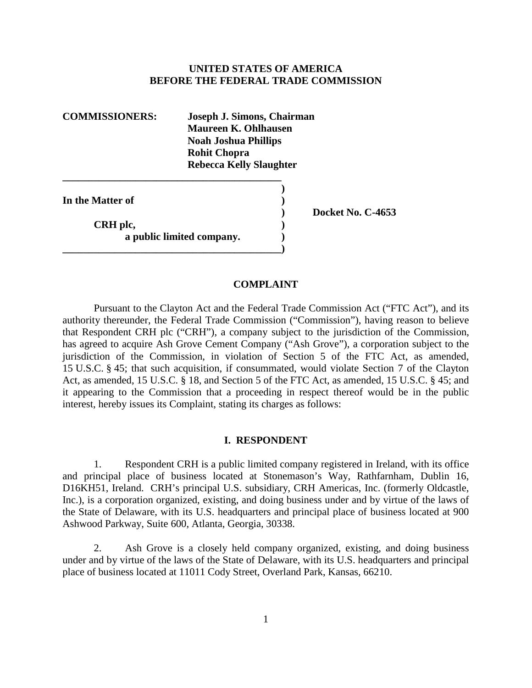# **UNITED STATES OF AMERICA BEFORE THE FEDERAL TRADE COMMISSION**

**\_\_\_\_\_\_\_\_\_\_\_\_\_\_\_\_\_\_\_\_\_\_\_\_\_\_\_\_\_\_\_\_\_\_\_\_\_\_\_\_\_\_ COMMISSIONERS: Joseph J. Simons, Chairman Maureen K. Ohlhausen Noah Joshua Phillips Rohit Chopra Rebecca Kelly Slaughter )** 

**In the Matter of**  )

**CRH** plc,  $\qquad \qquad$  ) **a** public limited company. **\_\_\_\_\_\_\_\_\_\_\_\_\_\_\_\_\_\_\_\_\_\_\_\_\_\_\_\_\_\_\_\_\_\_\_\_\_\_\_\_\_\_)** 

**) Docket No. C-4653** 

# **COMPLAINT**

 Pursuant to the Clayton Act and the Federal Trade Commission Act ("FTC Act"), and its 15 U.S.C. § 45; that such acquisition, if consummated, would violate Section 7 of the Clayton authority thereunder, the Federal Trade Commission ("Commission"), having reason to believe that Respondent CRH plc ("CRH"), a company subject to the jurisdiction of the Commission, has agreed to acquire Ash Grove Cement Company ("Ash Grove"), a corporation subject to the jurisdiction of the Commission, in violation of Section 5 of the FTC Act, as amended, Act, as amended, 15 U.S.C. § 18, and Section 5 of the FTC Act, as amended, 15 U.S.C. § 45; and it appearing to the Commission that a proceeding in respect thereof would be in the public interest, hereby issues its Complaint, stating its charges as follows:

#### **I. RESPONDENT**

 1. Respondent CRH is a public limited company registered in Ireland, with its office D16KH51, Ireland. CRH's principal U.S. subsidiary, CRH Americas, Inc. (formerly Oldcastle, Inc.), is a corporation organized, existing, and doing business under and by virtue of the laws of and principal place of business located at Stonemason's Way, Rathfarnham, Dublin 16, the State of Delaware, with its U.S. headquarters and principal place of business located at 900 Ashwood Parkway, Suite 600, Atlanta, Georgia, 30338.

2. Ash Grove is a closely held company organized, existing, and doing business under and by virtue of the laws of the State of Delaware, with its U.S. headquarters and principal place of business located at 11011 Cody Street, Overland Park, Kansas, 66210.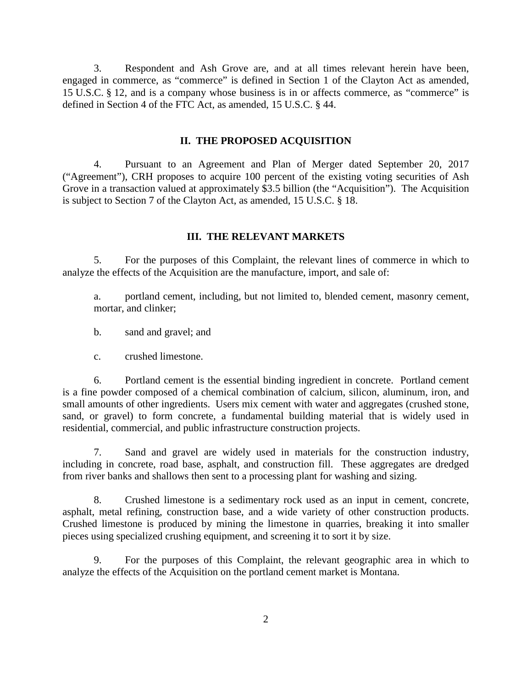3. Respondent and Ash Grove are, and at all times relevant herein have been, 15 U.S.C. § 12, and is a company whose business is in or affects commerce, as "commerce" is engaged in commerce, as "commerce" is defined in Section 1 of the Clayton Act as amended, defined in Section 4 of the FTC Act, as amended, 15 U.S.C. § 44.

### **II. THE PROPOSED ACQUISITION**

 is subject to Section 7 of the Clayton Act, as amended, 15 U.S.C. § 18. 4. Pursuant to an Agreement and Plan of Merger dated September 20, 2017 ("Agreement"), CRH proposes to acquire 100 percent of the existing voting securities of Ash Grove in a transaction valued at approximately \$3.5 billion (the "Acquisition"). The Acquisition

# **III. THE RELEVANT MARKETS**

5. For the purposes of this Complaint, the relevant lines of commerce in which to analyze the effects of the Acquisition are the manufacture, import, and sale of:

a. portland cement, including, but not limited to, blended cement, masonry cement, mortar, and clinker;

b. sand and gravel; and

crushed limestone.

c. crushed limestone.<br>6. Portland cement is the essential binding ingredient in concrete. Portland cement is a fine powder composed of a chemical combination of calcium, silicon, aluminum, iron, and small amounts of other ingredients. Users mix cement with water and aggregates (crushed stone, sand, or gravel) to form concrete, a fundamental building material that is widely used in residential, commercial, and public infrastructure construction projects.

 7. Sand and gravel are widely used in materials for the construction industry, from river banks and shallows then sent to a processing plant for washing and sizing. including in concrete, road base, asphalt, and construction fill. These aggregates are dredged

8. Crushed limestone is a sedimentary rock used as an input in cement, concrete, asphalt, metal refining, construction base, and a wide variety of other construction products. Crushed limestone is produced by mining the limestone in quarries, breaking it into smaller pieces using specialized crushing equipment, and screening it to sort it by size.

 analyze the effects of the Acquisition on the portland cement market is Montana. 9. For the purposes of this Complaint, the relevant geographic area in which to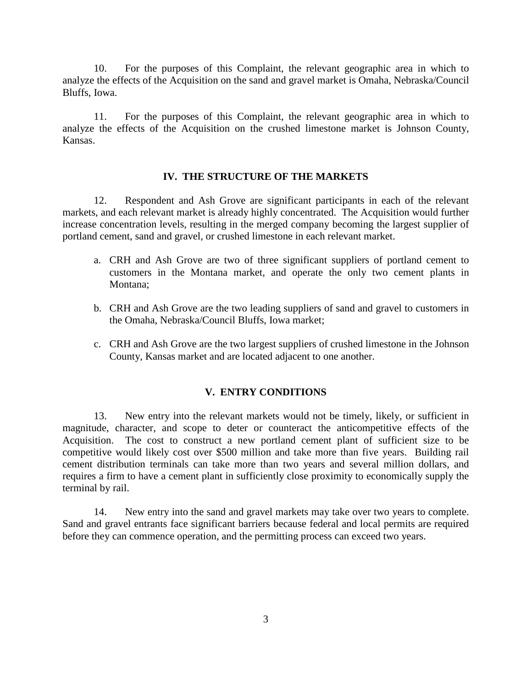analyze the effects of the Acquisition on the sand and gravel market is Omaha, Nebraska/Council 10. For the purposes of this Complaint, the relevant geographic area in which to Bluffs, Iowa.

11. For the purposes of this Complaint, the relevant geographic area in which to analyze the effects of the Acquisition on the crushed limestone market is Johnson County, Kansas.

# **IV. THE STRUCTURE OF THE MARKETS**

 markets, and each relevant market is already highly concentrated. The Acquisition would further portland cement, sand and gravel, or crushed limestone in each relevant market. 12. Respondent and Ash Grove are significant participants in each of the relevant increase concentration levels, resulting in the merged company becoming the largest supplier of

- a. CRH and Ash Grove are two of three significant suppliers of portland cement to customers in the Montana market, and operate the only two cement plants in Montana;
- b. CRH and Ash Grove are the two leading suppliers of sand and gravel to customers in the Omaha, Nebraska/Council Bluffs, Iowa market;
- c. CRH and Ash Grove are the two largest suppliers of crushed limestone in the Johnson County, Kansas market and are located adjacent to one another.

#### **V. ENTRY CONDITIONS**

 requires a firm to have a cement plant in sufficiently close proximity to economically supply the 13. New entry into the relevant markets would not be timely, likely, or sufficient in magnitude, character, and scope to deter or counteract the anticompetitive effects of the Acquisition. The cost to construct a new portland cement plant of sufficient size to be competitive would likely cost over \$500 million and take more than five years. Building rail cement distribution terminals can take more than two years and several million dollars, and terminal by rail.

 Sand and gravel entrants face significant barriers because federal and local permits are required 14. New entry into the sand and gravel markets may take over two years to complete. before they can commence operation, and the permitting process can exceed two years.